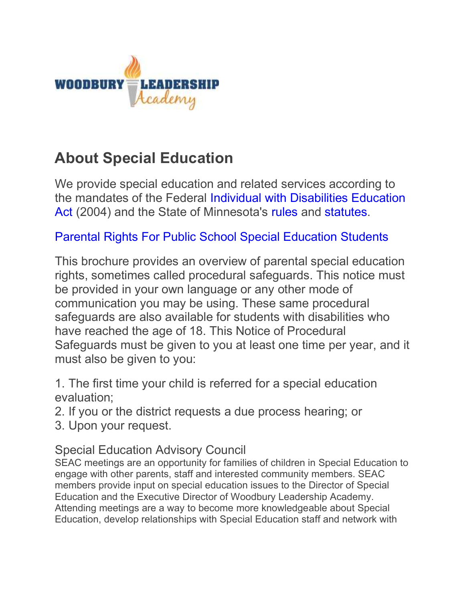

## **About Special Education**

We provide special education and related services according to the mandates of the Federal Individual with Disabilities Education Act (2004) and the State of Minnesota's rules and statutes.

Parental Rights For Public School Special Education Students

This brochure provides an overview of parental special education rights, sometimes called procedural safeguards. This notice must be provided in your own language or any other mode of communication you may be using. These same procedural safeguards are also available for students with disabilities who have reached the age of 18. This Notice of Procedural Safeguards must be given to you at least one time per year, and it must also be given to you:

1. The first time your child is referred for a special education evaluation;

- 2. If you or the district requests a due process hearing; or
- 3. Upon your request.

## Special Education Advisory Council

SEAC meetings are an opportunity for families of children in Special Education to engage with other parents, staff and interested community members. SEAC members provide input on special education issues to the Director of Special Education and the Executive Director of Woodbury Leadership Academy. Attending meetings are a way to become more knowledgeable about Special Education, develop relationships with Special Education staff and network with